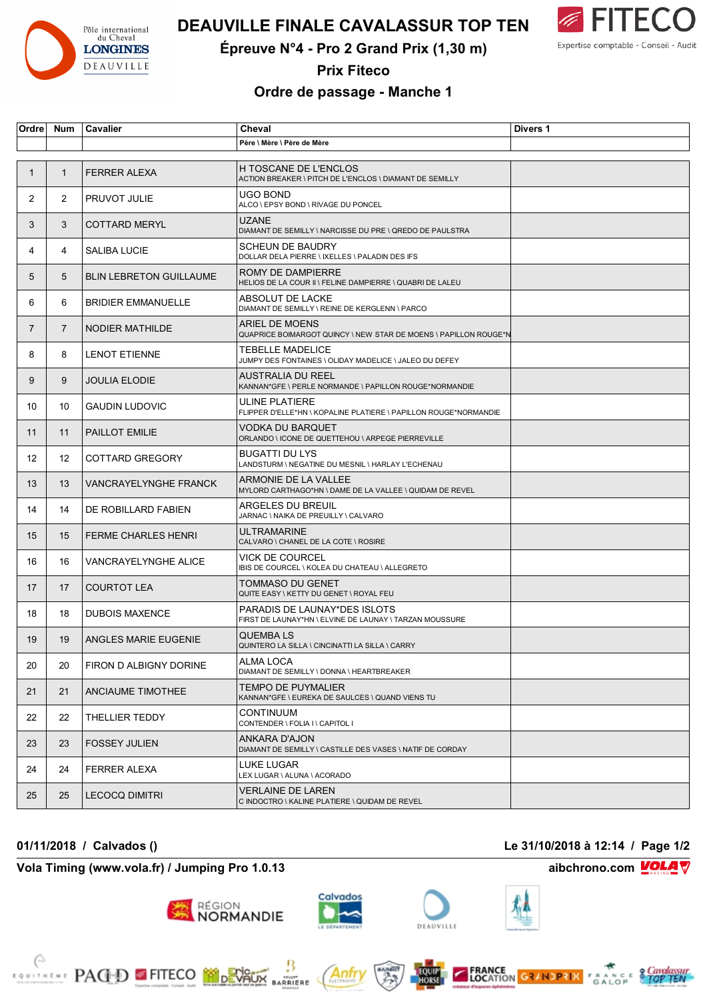

## **DEAUVILLE FINALE CAVALASSUR TOP TEN**



**Épreuve N°4 - Pro 2 Grand Prix (1,30 m)**

**Prix Fiteco**

## **Ordre de passage - Manche 1**

| Ordre        | Num            | Cavalier                       | Cheval                                                                                  | Divers 1 |
|--------------|----------------|--------------------------------|-----------------------------------------------------------------------------------------|----------|
|              |                |                                | Père \ Mère \ Père de Mère                                                              |          |
|              |                |                                |                                                                                         |          |
| $\mathbf{1}$ | $\mathbf{1}$   | <b>FERRER ALEXA</b>            | <b>H TOSCANE DE L'ENCLOS</b><br>ACTION BREAKER \ PITCH DE L'ENCLOS \ DIAMANT DE SEMILLY |          |
| 2            | 2              | <b>PRUVOT JULIE</b>            | UGO BOND<br>ALCO \ EPSY BOND \ RIVAGE DU PONCEL                                         |          |
| 3            | 3              | <b>COTTARD MERYL</b>           | UZANE<br>DIAMANT DE SEMILLY \ NARCISSE DU PRE \ QREDO DE PAULSTRA                       |          |
| 4            | 4              | SALIBA LUCIE                   | <b>SCHEUN DE BAUDRY</b><br>DOLLAR DELA PIERRE \ IXELLES \ PALADIN DES IFS               |          |
| 5            | 5              | <b>BLIN LEBRETON GUILLAUME</b> | ROMY DE DAMPIERRE<br>HELIOS DE LA COUR II \ FELINE DAMPIERRE \ QUABRI DE LALEU          |          |
| 6            | 6              | <b>BRIDIER EMMANUELLE</b>      | ABSOLUT DE LACKE<br>DIAMANT DE SEMILLY \ REINE DE KERGLENN \ PARCO                      |          |
| 7            | $\overline{7}$ | NODIER MATHILDE                | ARIEL DE MOENS<br>QUAPRICE BOIMARGOT QUINCY \ NEW STAR DE MOENS \ PAPILLON ROUGE*N      |          |
| 8            | 8              | <b>LENOT ETIENNE</b>           | TEBELLE MADELICE<br>JUMPY DES FONTAINES \ OLIDAY MADELICE \ JALEO DU DEFEY              |          |
| 9            | 9              | <b>JOULIA ELODIE</b>           | AUSTRALIA DU REEL<br>KANNAN*GFE \ PERLE NORMANDE \ PAPILLON ROUGE*NORMANDIE             |          |
| 10           | 10             | <b>GAUDIN LUDOVIC</b>          | ULINE PLATIERE<br>FLIPPER D'ELLE*HN \ KOPALINE PLATIERE \ PAPILLON ROUGE*NORMANDIE      |          |
| 11           | 11             | PAILLOT EMILIE                 | VODKA DU BARQUET<br>ORLANDO \ ICONE DE QUETTEHOU \ ARPEGE PIERREVILLE                   |          |
| 12           | 12             | COTTARD GREGORY                | <b>BUGATTI DU LYS</b><br>LANDSTURM \ NEGATINE DU MESNIL \ HARLAY L'ECHENAU              |          |
| 13           | 13             | <b>VANCRAYELYNGHE FRANCK</b>   | ARMONIE DE LA VALLEE<br>MYLORD CARTHAGO*HN \ DAME DE LA VALLEE \ QUIDAM DE REVEL        |          |
| 14           | 14             | DE ROBILLARD FABIEN            | ARGELES DU BREUIL<br>JARNAC \ NAIKA DE PREUILLY \ CALVARO                               |          |
| 15           | 15             | <b>FERME CHARLES HENRI</b>     | ULTRAMARINE<br>CALVARO \ CHANEL DE LA COTE \ ROSIRE                                     |          |
| 16           | 16             | VANCRAYELYNGHE ALICE           | VICK DE COURCEL<br>IBIS DE COURCEL \ KOLEA DU CHATEAU \ ALLEGRETO                       |          |
| 17           | 17             | <b>COURTOT LEA</b>             | TOMMASO DU GENET<br>QUITE EASY \ KETTY DU GENET \ ROYAL FEU                             |          |
| 18           | 18             | <b>DUBOIS MAXENCE</b>          | PARADIS DE LAUNAY*DES ISLOTS<br>FIRST DE LAUNAY*HN \ ELVINE DE LAUNAY \ TARZAN MOUSSURE |          |
| 19           | 19             | ANGLES MARIE EUGENIE           | <b>QUEMBALS</b><br>QUINTERO LA SILLA \ CINCINATTI LA SILLA \ CARRY                      |          |
| 20           | 20             | FIRON D ALBIGNY DORINE         | ALMA LOCA<br>DIAMANT DE SEMILLY \ DONNA \ HEARTBREAKER                                  |          |
| 21           | 21             | ANCIAUME TIMOTHEE              | TEMPO DE PUYMALIER<br>KANNAN*GFE \ EUREKA DE SAULCES \ QUAND VIENS TU                   |          |
| 22           | 22             | THELLIER TEDDY                 | CONTINUUM<br>CONTENDER \ FOLIA I \ CAPITOL I                                            |          |
| 23           | 23             | <b>FOSSEY JULIEN</b>           | ANKARA D'AJON<br>DIAMANT DE SEMILLY \ CASTILLE DES VASES \ NATIF DE CORDAY              |          |
| 24           | 24             | <b>FERRER ALEXA</b>            | LUKE LUGAR<br>LEX LUGAR \ ALUNA \ ACORADO                                               |          |
| 25           | 25             | <b>LECOCQ DIMITRI</b>          | <b>VERLAINE DE LAREN</b><br>C INDOCTRO \ KALINE PLATIERE \ QUIDAM DE REVEL              |          |

**01/11/2018 / Calvados () Le 31/10/2018 à 12:14 / Page 1/2**

**Vola Timing (www.vola.fr) / Jumping Pro 1.0.13 aibchrono.com** ■ aibchrono.com

**EXAMPLE PAGED FITECO MODEVALLE** 



Anfr

**BARRIERE** 

région<br>**NORMANDIE**